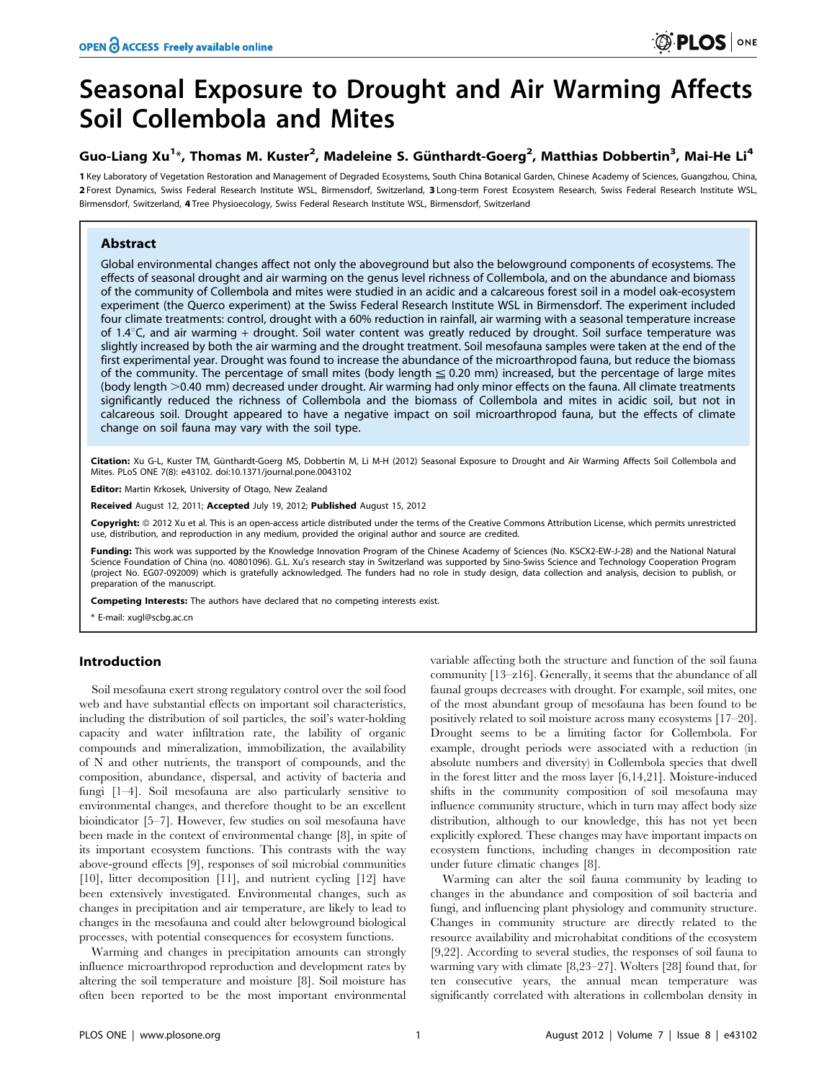# Seasonal Exposure to Drought and Air Warming Affects Soil Collembola and Mites

## Guo-Liang Xu<sup>1</sup>\*, Thomas M. Kuster<sup>2</sup>, Madeleine S. Günthardt-Goerg<sup>2</sup>, Matthias Dobbertin<sup>3</sup>, Mai-He Li<sup>4</sup>

1 Key Laboratory of Vegetation Restoration and Management of Degraded Ecosystems, South China Botanical Garden, Chinese Academy of Sciences, Guangzhou, China, 2 Forest Dynamics, Swiss Federal Research Institute WSL, Birmensdorf, Switzerland, 3 Long-term Forest Ecosystem Research, Swiss Federal Research Institute WSL, Birmensdorf, Switzerland, 4 Tree Physioecology, Swiss Federal Research Institute WSL, Birmensdorf, Switzerland

## Abstract

Global environmental changes affect not only the aboveground but also the belowground components of ecosystems. The effects of seasonal drought and air warming on the genus level richness of Collembola, and on the abundance and biomass of the community of Collembola and mites were studied in an acidic and a calcareous forest soil in a model oak-ecosystem experiment (the Querco experiment) at the Swiss Federal Research Institute WSL in Birmensdorf. The experiment included four climate treatments: control, drought with a 60% reduction in rainfall, air warming with a seasonal temperature increase of 1.4 $\degree$ C, and air warming + drought. Soil water content was greatly reduced by drought. Soil surface temperature was slightly increased by both the air warming and the drought treatment. Soil mesofauna samples were taken at the end of the first experimental year. Drought was found to increase the abundance of the microarthropod fauna, but reduce the biomass of the community. The percentage of small mites (body length  $\leq$  0.20 mm) increased, but the percentage of large mites (body length >0.40 mm) decreased under drought. Air warming had only minor effects on the fauna. All climate treatments significantly reduced the richness of Collembola and the biomass of Collembola and mites in acidic soil, but not in calcareous soil. Drought appeared to have a negative impact on soil microarthropod fauna, but the effects of climate change on soil fauna may vary with the soil type.

Citation: Xu G-L, Kuster TM, Günthardt-Goerg MS, Dobbertin M, Li M-H (2012) Seasonal Exposure to Drought and Air Warming Affects Soil Collembola and Mites. PLoS ONE 7(8): e43102. doi:10.1371/journal.pone.0043102

Editor: Martin Krkosek, University of Otago, New Zealand

Received August 12, 2011; Accepted July 19, 2012; Published August 15, 2012

Copyright: © 2012 Xu et al. This is an open-access article distributed under the terms of the Creative Commons Attribution License, which permits unrestricted use, distribution, and reproduction in any medium, provided the original author and source are credited.

Funding: This work was supported by the Knowledge Innovation Program of the Chinese Academy of Sciences (No. KSCX2-EW-J-28) and the National Natural Science Foundation of China (no. 40801096). G.L. Xu's research stay in Switzerland was supported by Sino-Swiss Science and Technology Cooperation Program (project No. EG07-092009) which is gratefully acknowledged. The funders had no role in study design, data collection and analysis, decision to publish, or preparation of the manuscript.

Competing Interests: The authors have declared that no competing interests exist.

\* E-mail: xugl@scbg.ac.cn

## Introduction

Soil mesofauna exert strong regulatory control over the soil food web and have substantial effects on important soil characteristics, including the distribution of soil particles, the soil's water-holding capacity and water infiltration rate, the lability of organic compounds and mineralization, immobilization, the availability of N and other nutrients, the transport of compounds, and the composition, abundance, dispersal, and activity of bacteria and fungi [1–4]. Soil mesofauna are also particularly sensitive to environmental changes, and therefore thought to be an excellent bioindicator [5–7]. However, few studies on soil mesofauna have been made in the context of environmental change [8], in spite of its important ecosystem functions. This contrasts with the way above-ground effects [9], responses of soil microbial communities [10], litter decomposition [11], and nutrient cycling [12] have been extensively investigated. Environmental changes, such as changes in precipitation and air temperature, are likely to lead to changes in the mesofauna and could alter belowground biological processes, with potential consequences for ecosystem functions.

Warming and changes in precipitation amounts can strongly influence microarthropod reproduction and development rates by altering the soil temperature and moisture [8]. Soil moisture has often been reported to be the most important environmental variable affecting both the structure and function of the soil fauna community [13–z16]. Generally, it seems that the abundance of all faunal groups decreases with drought. For example, soil mites, one of the most abundant group of mesofauna has been found to be positively related to soil moisture across many ecosystems [17–20]. Drought seems to be a limiting factor for Collembola. For example, drought periods were associated with a reduction (in absolute numbers and diversity) in Collembola species that dwell in the forest litter and the moss layer [6,14,21]. Moisture-induced shifts in the community composition of soil mesofauna may influence community structure, which in turn may affect body size distribution, although to our knowledge, this has not yet been explicitly explored. These changes may have important impacts on ecosystem functions, including changes in decomposition rate under future climatic changes [8].

Warming can alter the soil fauna community by leading to changes in the abundance and composition of soil bacteria and fungi, and influencing plant physiology and community structure. Changes in community structure are directly related to the resource availability and microhabitat conditions of the ecosystem [9,22]. According to several studies, the responses of soil fauna to warming vary with climate [8,23–27]. Wolters [28] found that, for ten consecutive years, the annual mean temperature was significantly correlated with alterations in collembolan density in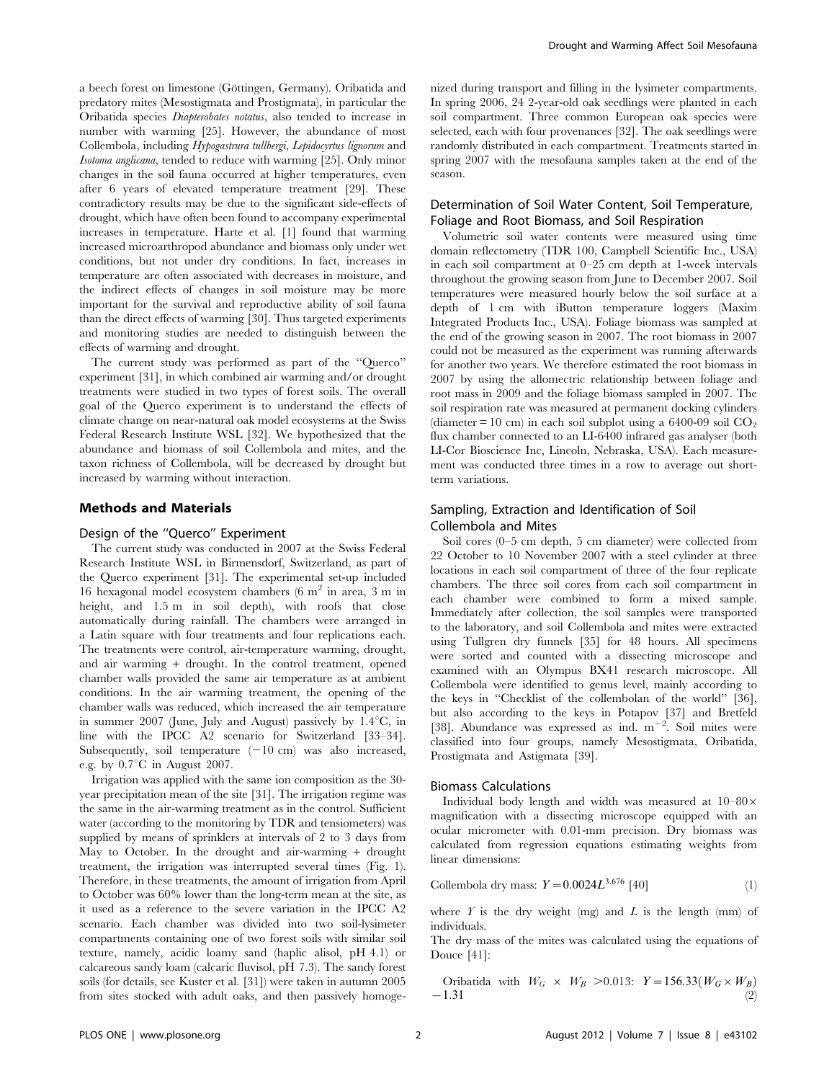a beech forest on limestone (Göttingen, Germany). Oribatida and predatory mites (Mesostigmata and Prostigmata), in particular the Oribatida species Diapterobates notatus, also tended to increase in number with warming [25]. However, the abundance of most Collembola, including Hypogastrura tullbergi, Lepidocyrtus lignorum and Isotoma anglicana, tended to reduce with warming [25]. Only minor changes in the soil fauna occurred at higher temperatures, even after 6 years of elevated temperature treatment [29]. These contradictory results may be due to the significant side-effects of drought, which have often been found to accompany experimental increases in temperature. Harte et al. [1] found that warming increased microarthropod abundance and biomass only under wet conditions, but not under dry conditions. In fact, increases in temperature are often associated with decreases in moisture, and the indirect effects of changes in soil moisture may be more important for the survival and reproductive ability of soil fauna than the direct effects of warming [30]. Thus targeted experiments and monitoring studies are needed to distinguish between the effects of warming and drought.

The current study was performed as part of the ''Querco'' experiment [31], in which combined air warming and/or drought treatments were studied in two types of forest soils. The overall goal of the Querco experiment is to understand the effects of climate change on near-natural oak model ecosystems at the Swiss Federal Research Institute WSL [32]. We hypothesized that the abundance and biomass of soil Collembola and mites, and the taxon richness of Collembola, will be decreased by drought but increased by warming without interaction.

#### Methods and Materials

#### Design of the ''Querco'' Experiment

The current study was conducted in 2007 at the Swiss Federal Research Institute WSL in Birmensdorf, Switzerland, as part of the Querco experiment [31]. The experimental set-up included 16 hexagonal model ecosystem chambers  $(6 \text{ m}^2 \text{ in area}, 3 \text{ m} \text{ in}$ height, and 1.5 m in soil depth), with roofs that close automatically during rainfall. The chambers were arranged in a Latin square with four treatments and four replications each. The treatments were control, air-temperature warming, drought, and air warming + drought. In the control treatment, opened chamber walls provided the same air temperature as at ambient conditions. In the air warming treatment, the opening of the chamber walls was reduced, which increased the air temperature in summer 2007 (June, July and August) passively by  $1.4^{\circ}$ C, in line with the IPCC A2 scenario for Switzerland [33–34]. Subsequently, soil temperature  $(-10 \text{ cm})$  was also increased, e.g. by  $0.7^{\circ}$ C in August 2007.

Irrigation was applied with the same ion composition as the 30 year precipitation mean of the site [31]. The irrigation regime was the same in the air-warming treatment as in the control. Sufficient water (according to the monitoring by TDR and tensiometers) was supplied by means of sprinklers at intervals of 2 to 3 days from May to October. In the drought and air-warming + drought treatment, the irrigation was interrupted several times (Fig. 1). Therefore, in these treatments, the amount of irrigation from April to October was 60% lower than the long-term mean at the site, as it used as a reference to the severe variation in the IPCC A2 scenario. Each chamber was divided into two soil-lysimeter compartments containing one of two forest soils with similar soil texture, namely, acidic loamy sand (haplic alisol, pH 4.1) or calcareous sandy loam (calcaric fluvisol, pH 7.3). The sandy forest soils (for details, see Kuster et al. [31]) were taken in autumn 2005 from sites stocked with adult oaks, and then passively homogenized during transport and filling in the lysimeter compartments. In spring 2006, 24 2-year-old oak seedlings were planted in each soil compartment. Three common European oak species were selected, each with four provenances [32]. The oak seedlings were randomly distributed in each compartment. Treatments started in spring 2007 with the mesofauna samples taken at the end of the season.

## Determination of Soil Water Content, Soil Temperature, Foliage and Root Biomass, and Soil Respiration

Volumetric soil water contents were measured using time domain reflectometry (TDR 100, Campbell Scientific Inc., USA) in each soil compartment at 0–25 cm depth at 1-week intervals throughout the growing season from June to December 2007. Soil temperatures were measured hourly below the soil surface at a depth of 1 cm with iButton temperature loggers (Maxim Integrated Products Inc., USA). Foliage biomass was sampled at the end of the growing season in 2007. The root biomass in 2007 could not be measured as the experiment was running afterwards for another two years. We therefore estimated the root biomass in 2007 by using the allomectric relationship between foliage and root mass in 2009 and the foliage biomass sampled in 2007. The soil respiration rate was measured at permanent docking cylinders (diameter = 10 cm) in each soil subplot using a  $6400-09$  soil  $CO<sub>2</sub>$ flux chamber connected to an LI-6400 infrared gas analyser (both LI-Cor Bioscience Inc, Lincoln, Nebraska, USA). Each measurement was conducted three times in a row to average out shortterm variations.

## Sampling, Extraction and Identification of Soil Collembola and Mites

Soil cores (0–5 cm depth, 5 cm diameter) were collected from 22 October to 10 November 2007 with a steel cylinder at three locations in each soil compartment of three of the four replicate chambers. The three soil cores from each soil compartment in each chamber were combined to form a mixed sample. Immediately after collection, the soil samples were transported to the laboratory, and soil Collembola and mites were extracted using Tullgren dry funnels [35] for 48 hours. All specimens were sorted and counted with a dissecting microscope and examined with an Olympus BX41 research microscope. All Collembola were identified to genus level, mainly according to the keys in ''Checklist of the collembolan of the world'' [36], but also according to the keys in Potapov  $[37]$  and Bretfeld  $[38]$ . Abundance was expressed as ind.  $m^{-2}$ . Soil mites were classified into four groups, namely Mesostigmata, Oribatida, Prostigmata and Astigmata [39].

#### Biomass Calculations

Individual body length and width was measured at  $10-80\times$ magnification with a dissecting microscope equipped with an ocular micrometer with 0.01-mm precision. Dry biomass was calculated from regression equations estimating weights from linear dimensions:

Collembola dry mass: 
$$
Y = 0.0024L^{3.676}
$$
 [40]

\n(1)

where  $\hat{T}$  is the dry weight (mg) and  $\hat{L}$  is the length (mm) of individuals.

The dry mass of the mites was calculated using the equations of Douce [41]:

Oribatida with  $W_G \times W_B > 0.013$ :  $Y=156.33(W_G \times W_B)$  $-1.31$  (2)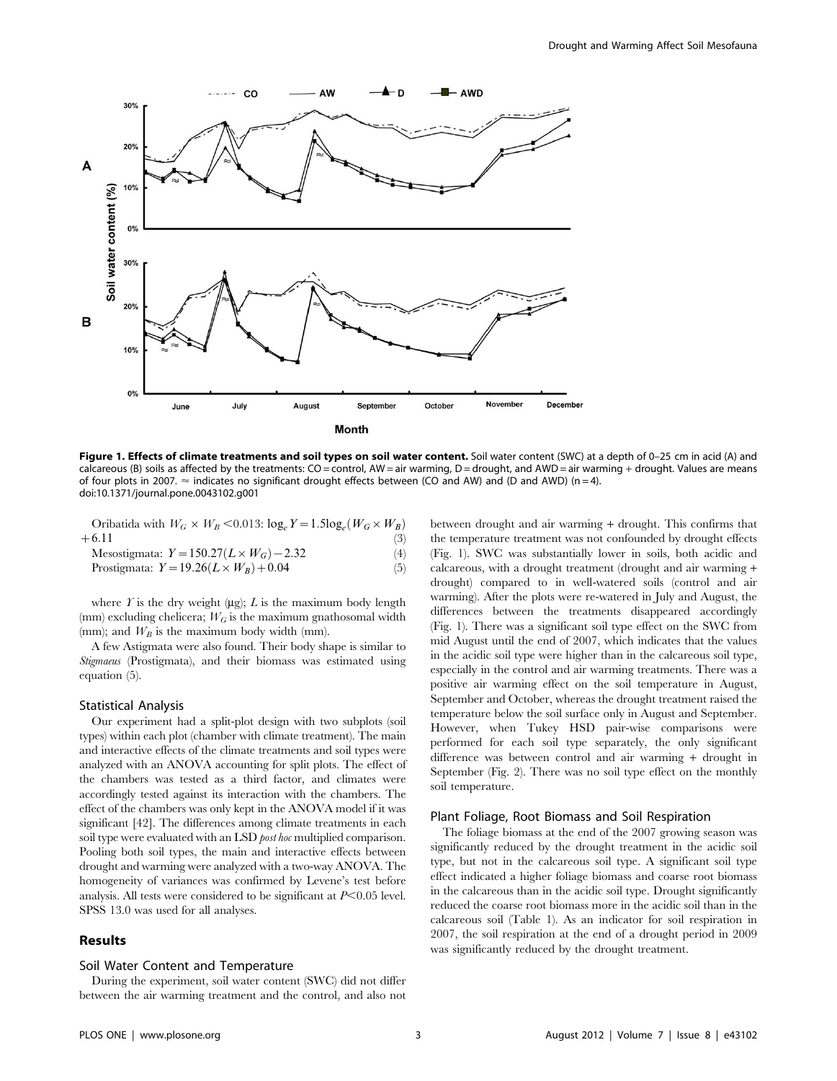

Figure 1. Effects of climate treatments and soil types on soil water content. Soil water content (SWC) at a depth of 0-25 cm in acid (A) and calcareous (B) soils as affected by the treatments: CO = control, AW = air warming, D = drought, and AWD = air warming + drought. Values are means of four plots in 2007.  $\approx$  indicates no significant drought effects between (CO and AW) and (D and AWD) (n=4). doi:10.1371/journal.pone.0043102.g001

| Oribatida with $W_G \times W_B \le 0.013$ : $\log_e Y = 1.5 \log_e (W_G \times W_B)$ |  |  |     |
|--------------------------------------------------------------------------------------|--|--|-----|
| $+6.11$                                                                              |  |  | (3) |

$$
Message(1) \text{Message: } Y = 150.27 \, (L \times W_G) - 2.32 \tag{4}
$$

$$
Prostigmat: Y = 19.26(L \times W_B) + 0.04
$$
 (5)

where  $\Gamma$  is the dry weight (µg);  $L$  is the maximum body length (mm) excluding chelicera;  $W_G$  is the maximum gnathosomal width (mm); and  $W_B$  is the maximum body width (mm).

A few Astigmata were also found. Their body shape is similar to Stigmaeus (Prostigmata), and their biomass was estimated using equation (5).

#### Statistical Analysis

Our experiment had a split-plot design with two subplots (soil types) within each plot (chamber with climate treatment). The main and interactive effects of the climate treatments and soil types were analyzed with an ANOVA accounting for split plots. The effect of the chambers was tested as a third factor, and climates were accordingly tested against its interaction with the chambers. The effect of the chambers was only kept in the ANOVA model if it was significant [42]. The differences among climate treatments in each soil type were evaluated with an LSD *post hoc* multiplied comparison. Pooling both soil types, the main and interactive effects between drought and warming were analyzed with a two-way ANOVA. The homogeneity of variances was confirmed by Levene's test before analysis. All tests were considered to be significant at  $P<0.05$  level. SPSS 13.0 was used for all analyses.

#### Results

#### Soil Water Content and Temperature

During the experiment, soil water content (SWC) did not differ between the air warming treatment and the control, and also not between drought and air warming + drought. This confirms that the temperature treatment was not confounded by drought effects (Fig. 1). SWC was substantially lower in soils, both acidic and calcareous, with a drought treatment (drought and air warming + drought) compared to in well-watered soils (control and air warming). After the plots were re-watered in July and August, the differences between the treatments disappeared accordingly (Fig. 1). There was a significant soil type effect on the SWC from mid August until the end of 2007, which indicates that the values in the acidic soil type were higher than in the calcareous soil type, especially in the control and air warming treatments. There was a positive air warming effect on the soil temperature in August, September and October, whereas the drought treatment raised the temperature below the soil surface only in August and September. However, when Tukey HSD pair-wise comparisons were performed for each soil type separately, the only significant difference was between control and air warming + drought in September (Fig. 2). There was no soil type effect on the monthly soil temperature.

#### Plant Foliage, Root Biomass and Soil Respiration

The foliage biomass at the end of the 2007 growing season was significantly reduced by the drought treatment in the acidic soil type, but not in the calcareous soil type. A significant soil type effect indicated a higher foliage biomass and coarse root biomass in the calcareous than in the acidic soil type. Drought significantly reduced the coarse root biomass more in the acidic soil than in the calcareous soil (Table 1). As an indicator for soil respiration in 2007, the soil respiration at the end of a drought period in 2009 was significantly reduced by the drought treatment.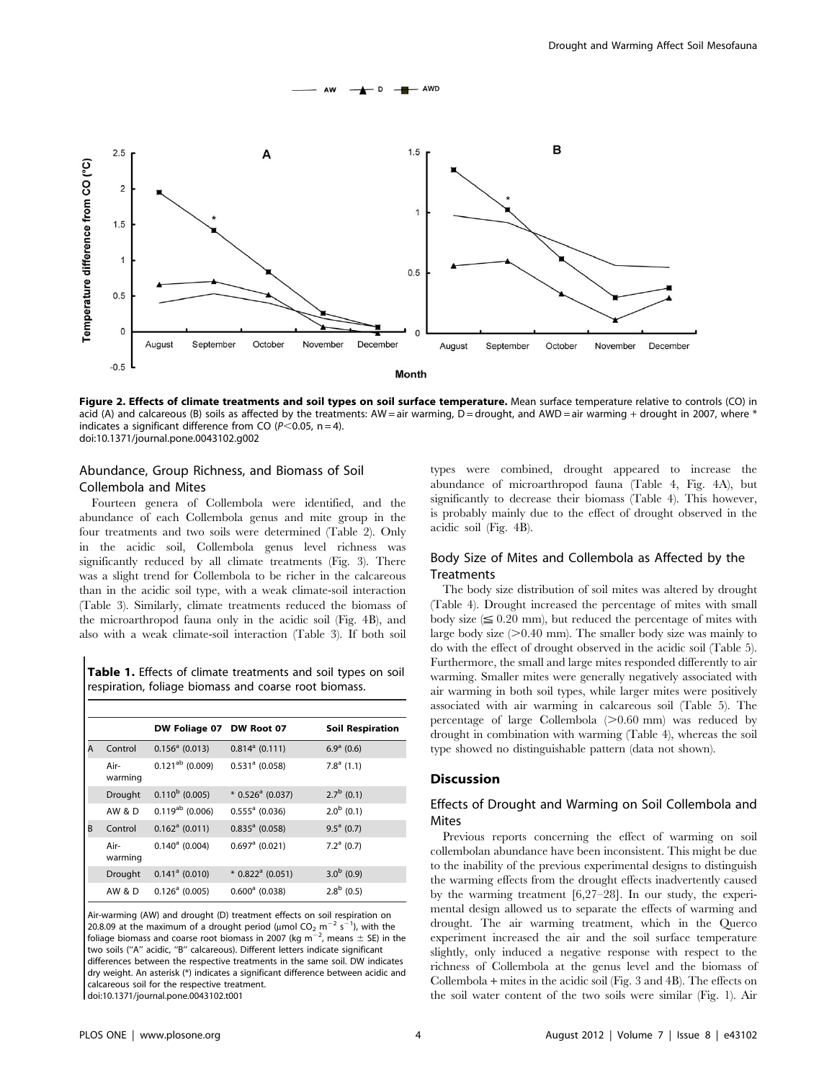

Figure 2. Effects of climate treatments and soil types on soil surface temperature. Mean surface temperature relative to controls (CO) in acid (A) and calcareous (B) soils as affected by the treatments: AW = air warming, D = drought, and AWD = air warming + drought in 2007, where \* indicates a significant difference from CO ( $P$ <0.05, n = 4). doi:10.1371/journal.pone.0043102.g002

## Abundance, Group Richness, and Biomass of Soil Collembola and Mites

Fourteen genera of Collembola were identified, and the abundance of each Collembola genus and mite group in the four treatments and two soils were determined (Table 2). Only in the acidic soil, Collembola genus level richness was significantly reduced by all climate treatments (Fig. 3). There was a slight trend for Collembola to be richer in the calcareous than in the acidic soil type, with a weak climate-soil interaction (Table 3). Similarly, climate treatments reduced the biomass of the microarthropod fauna only in the acidic soil (Fig. 4B), and also with a weak climate-soil interaction (Table 3). If both soil

Table 1. Effects of climate treatments and soil types on soil respiration, foliage biomass and coarse root biomass.

|   |                 | DW Foliage 07 DW Root 07 |                                | <b>Soil Respiration</b> |  |  |  |  |
|---|-----------------|--------------------------|--------------------------------|-------------------------|--|--|--|--|
| A | Control         | $0.156a$ (0.013)         | $0.814^a$ (0.111)              | $6.9a$ (0.6)            |  |  |  |  |
|   | Air-<br>warming | $0.121^{ab}$ (0.009)     | $0.531a$ (0.058)               | $7.8a$ (1.1)            |  |  |  |  |
|   | Drought         | $0.110^{b}$ (0.005)      | $*$ 0.526 <sup>a</sup> (0.037) | $2.7^{\rm b}$ (0.1)     |  |  |  |  |
|   | AW & D          | $0.119^{ab}$ (0.006)     | $0.555a$ (0.036)               | $2.0b$ (0.1)            |  |  |  |  |
| B | Control         | $0.162^a$ (0.011)        | $0.835^a$ (0.058)              | $9.5^a$ (0.7)           |  |  |  |  |
|   | Air-<br>warming | $0.140^a$ (0.004)        | $0.697a$ (0.021)               | $7.2a$ (0.7)            |  |  |  |  |
|   | Drought         | $0.141^a$ (0.010)        | $*$ 0.822 <sup>ª</sup> (0.051) | $3.0b$ (0.9)            |  |  |  |  |
|   | AW & D          | $0.126a$ (0.005)         | $0.600^a$ (0.038)              | $2.8^{\rm b}$ (0.5)     |  |  |  |  |

Air-warming (AW) and drought (D) treatment effects on soil respiration on 20.8.09 at the maximum of a drought period ( $\mu$ mol CO<sub>2</sub> m<sup>-2</sup> s<sup>-1</sup>), with the foliage biomass and coarse root biomass in 2007 (kg m<sup>-2</sup>, means  $\pm$  SE) in the two soils (''A'' acidic, ''B'' calcareous). Different letters indicate significant differences between the respective treatments in the same soil. DW indicates dry weight. An asterisk (\*) indicates a significant difference between acidic and calcareous soil for the respective treatment. doi:10.1371/journal.pone.0043102.t001

types were combined, drought appeared to increase the abundance of microarthropod fauna (Table 4, Fig. 4A), but significantly to decrease their biomass (Table 4). This however, is probably mainly due to the effect of drought observed in the acidic soil (Fig. 4B).

## Body Size of Mites and Collembola as Affected by the **Treatments**

The body size distribution of soil mites was altered by drought (Table 4). Drought increased the percentage of mites with small body size  $(\leq 0.20 \text{ mm})$ , but reduced the percentage of mites with large body size  $(>0.40$  mm). The smaller body size was mainly to do with the effect of drought observed in the acidic soil (Table 5). Furthermore, the small and large mites responded differently to air warming. Smaller mites were generally negatively associated with air warming in both soil types, while larger mites were positively associated with air warming in calcareous soil (Table 5). The percentage of large Collembola  $(>0.60$  mm) was reduced by drought in combination with warming (Table 4), whereas the soil type showed no distinguishable pattern (data not shown).

#### Discussion

## Effects of Drought and Warming on Soil Collembola and Mites

Previous reports concerning the effect of warming on soil collembolan abundance have been inconsistent. This might be due to the inability of the previous experimental designs to distinguish the warming effects from the drought effects inadvertently caused by the warming treatment [6,27–28]. In our study, the experimental design allowed us to separate the effects of warming and drought. The air warming treatment, which in the Querco experiment increased the air and the soil surface temperature slightly, only induced a negative response with respect to the richness of Collembola at the genus level and the biomass of Collembola + mites in the acidic soil (Fig. 3 and 4B). The effects on the soil water content of the two soils were similar (Fig. 1). Air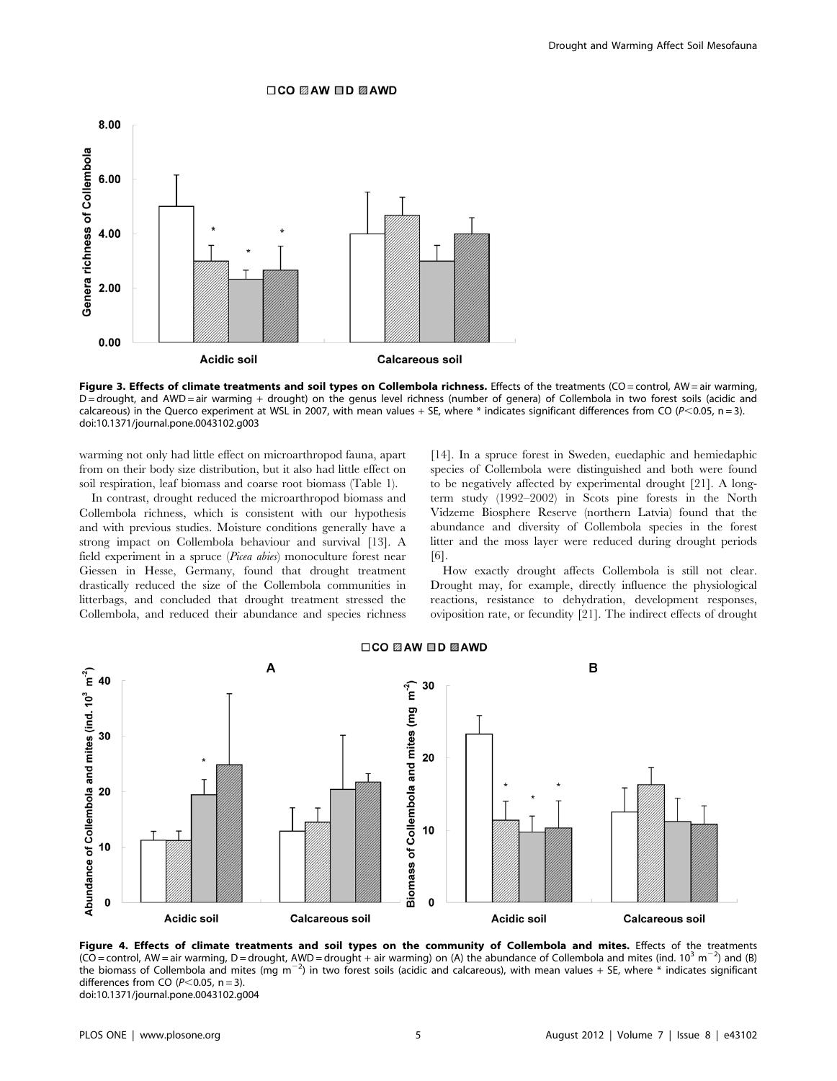#### □CO 22AW □D 22AWD



Figure 3. Effects of climate treatments and soil types on Collembola richness. Effects of the treatments (CO = control, AW = air warming, D = drought, and AWD = air warming + drought) on the genus level richness (number of genera) of Collembola in two forest soils (acidic and calcareous) in the Querco experiment at WSL in 2007, with mean values + SE, where \* indicates significant differences from CO ( $P$ <0.05, n = 3). doi:10.1371/journal.pone.0043102.g003

warming not only had little effect on microarthropod fauna, apart from on their body size distribution, but it also had little effect on soil respiration, leaf biomass and coarse root biomass (Table 1).

In contrast, drought reduced the microarthropod biomass and Collembola richness, which is consistent with our hypothesis and with previous studies. Moisture conditions generally have a strong impact on Collembola behaviour and survival [13]. A field experiment in a spruce (Picea abies) monoculture forest near Giessen in Hesse, Germany, found that drought treatment drastically reduced the size of the Collembola communities in litterbags, and concluded that drought treatment stressed the Collembola, and reduced their abundance and species richness [14]. In a spruce forest in Sweden, euedaphic and hemiedaphic species of Collembola were distinguished and both were found to be negatively affected by experimental drought [21]. A longterm study (1992–2002) in Scots pine forests in the North Vidzeme Biosphere Reserve (northern Latvia) found that the abundance and diversity of Collembola species in the forest litter and the moss layer were reduced during drought periods [6].

How exactly drought affects Collembola is still not clear. Drought may, for example, directly influence the physiological reactions, resistance to dehydration, development responses, oviposition rate, or fecundity [21]. The indirect effects of drought



Figure 4. Effects of climate treatments and soil types on the community of Collembola and mites. Effects of the treatments (CO = control, AW = air warming, D = drought, AWD = drought + air warming) on (A) the abundance of Collembola and mites (ind. 10<sup>3</sup> m<sup>-2</sup>) and (B) the biomass of Collembola and mites (mg m<sup>-2</sup>) in two forest soils (acidic and calcareous), with mean values + SE, where  $*$  indicates significant differences from CO ( $P<$ 0.05, n = 3). doi:10.1371/journal.pone.0043102.g004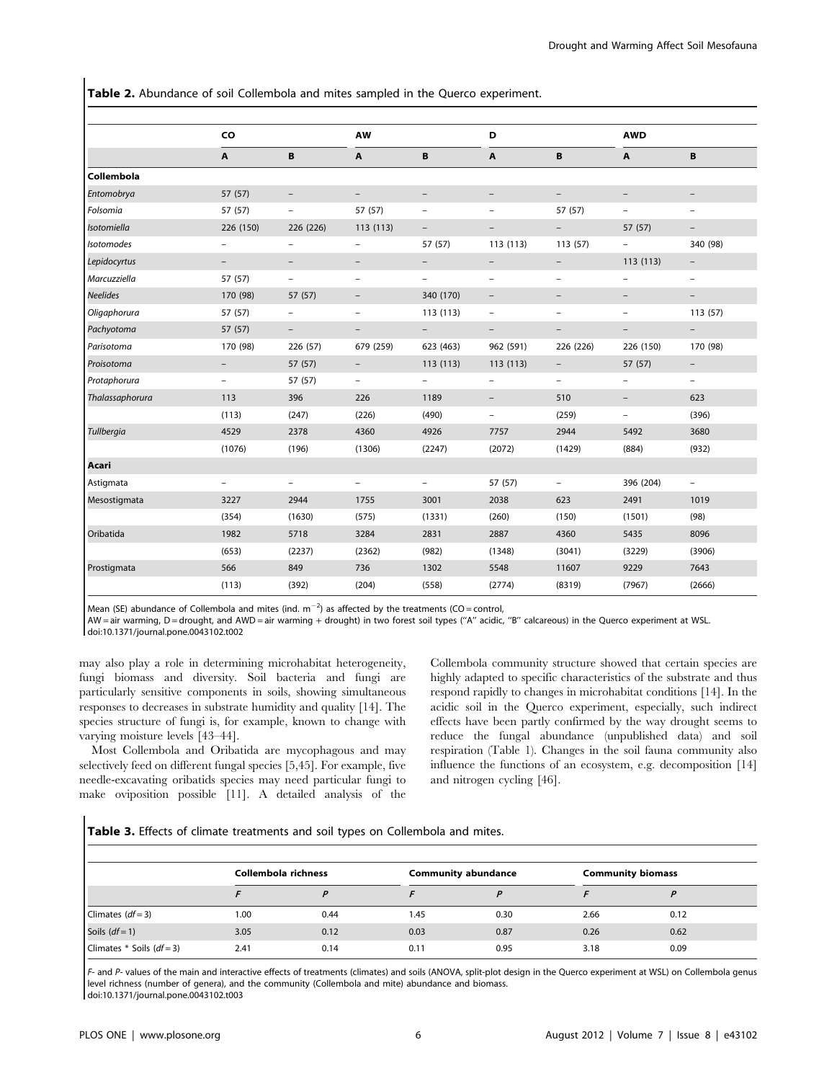Table 2. Abundance of soil Collembola and mites sampled in the Querco experiment.

|                 | CO                       |                          | <b>AW</b>                |                          | D                        |                          | <b>AWD</b>               |                          |  |
|-----------------|--------------------------|--------------------------|--------------------------|--------------------------|--------------------------|--------------------------|--------------------------|--------------------------|--|
|                 | $\mathbf{A}$             | B                        | A                        | B                        | A                        | B                        | A                        | B                        |  |
| Collembola      |                          |                          |                          |                          |                          |                          |                          |                          |  |
| Entomobrya      | 57 (57)                  | $\qquad \qquad -$        | $\overline{\phantom{0}}$ |                          |                          | $\overline{\phantom{0}}$ |                          |                          |  |
| Folsomia        | 57 (57)                  | $\overline{\phantom{a}}$ | 57 (57)                  | $\overline{\phantom{0}}$ | $\overline{\phantom{a}}$ | 57 (57)                  | $\qquad \qquad -$        | $\overline{\phantom{a}}$ |  |
| Isotomiella     | 226 (150)                | 226 (226)                | 113 (113)                |                          |                          |                          | 57 (57)                  |                          |  |
| Isotomodes      |                          | $\qquad \qquad -$        | $\overline{\phantom{0}}$ | 57 (57)                  | 113 (113)                | 113 (57)                 | $\qquad \qquad -$        | 340 (98)                 |  |
| Lepidocyrtus    | $\overline{\phantom{a}}$ | $\qquad \qquad -$        | $\qquad \qquad -$        |                          | $\qquad \qquad -$        | $\qquad \qquad -$        | 113 (113)                | $\overline{\phantom{m}}$ |  |
| Marcuzziella    | 57 (57)                  | $\overline{\phantom{a}}$ | $\overline{a}$           | $\overline{\phantom{a}}$ | $\overline{\phantom{a}}$ | $\qquad \qquad -$        | $\overline{\phantom{0}}$ | $\overline{\phantom{a}}$ |  |
| <b>Neelides</b> | 170 (98)                 | 57 (57)                  | $\overline{\phantom{0}}$ | 340 (170)                | $\overline{\phantom{m}}$ | $\overline{\phantom{0}}$ |                          |                          |  |
| Oligaphorura    | 57 (57)                  | $\overline{\phantom{a}}$ | $\qquad \qquad -$        | 113 (113)                | $\overline{\phantom{a}}$ | $\qquad \qquad -$        | $\qquad \qquad -$        | 113(57)                  |  |
| Pachyotoma      | 57 (57)                  | $-$                      |                          |                          | $\qquad \qquad -$        |                          |                          | $\overline{\phantom{a}}$ |  |
| Parisotoma      | 170 (98)                 | 226 (57)                 | 679 (259)                | 623 (463)                | 962 (591)                | 226 (226)                | 226 (150)                | 170 (98)                 |  |
| Proisotoma      | $\overline{\phantom{a}}$ | 57 (57)                  | $\overline{\phantom{a}}$ | 113(113)                 | 113 (113)                | $\overline{\phantom{a}}$ | 57 (57)                  | $\overline{\phantom{a}}$ |  |
| Protaphorura    | $\qquad \qquad -$        | 57 (57)                  | -                        | $\overline{\phantom{m}}$ | -                        | $\qquad \qquad -$        | -                        | $\overline{\phantom{m}}$ |  |
| Thalassaphorura | 113                      | 396                      | 226                      | 1189                     | $\qquad \qquad -$        | 510                      | $\qquad \qquad -$        | 623                      |  |
|                 | (113)                    | (247)                    | (226)                    | (490)                    | $-$                      | (259)                    | $-$                      | (396)                    |  |
| Tullbergia      | 4529                     | 2378                     | 4360                     | 4926                     | 7757                     | 2944                     | 5492                     | 3680                     |  |
|                 | (1076)                   | (196)                    | (1306)                   | (2247)                   | (2072)                   | (1429)                   | (884)                    | (932)                    |  |
| Acari           |                          |                          |                          |                          |                          |                          |                          |                          |  |
| Astigmata       | -                        | $\overline{\phantom{m}}$ | -                        | $\overline{\phantom{m}}$ | 57 (57)                  | $\qquad \qquad -$        | 396 (204)                | $\overline{\phantom{a}}$ |  |
| Mesostigmata    | 3227                     | 2944                     | 1755                     | 3001                     | 2038                     | 623                      | 2491                     | 1019                     |  |
|                 | (354)                    | (1630)                   | (575)                    | (1331)                   | (260)                    | (150)                    | (1501)                   | (98)                     |  |
| Oribatida       | 1982                     | 5718                     | 3284                     | 2831                     | 2887                     | 4360                     | 5435                     | 8096                     |  |
|                 | (653)                    | (2237)                   | (2362)                   | (982)                    | (1348)                   | (3041)                   | (3229)                   | (3906)                   |  |
| Prostigmata     | 566                      | 849                      | 736                      | 1302                     | 5548                     | 11607                    | 9229                     | 7643                     |  |
|                 | (113)                    | (392)                    | (204)                    | (558)                    | (2774)                   | (8319)                   | (7967)                   | (2666)                   |  |

Mean (SE) abundance of Collembola and mites (ind.  $m^{-2}$ ) as affected by the treatments (CO = control,

AW = air warming, D = drought, and AWD = air warming + drought) in two forest soil types (''A'' acidic, ''B'' calcareous) in the Querco experiment at WSL. doi:10.1371/journal.pone.0043102.t002

may also play a role in determining microhabitat heterogeneity, fungi biomass and diversity. Soil bacteria and fungi are particularly sensitive components in soils, showing simultaneous responses to decreases in substrate humidity and quality [14]. The species structure of fungi is, for example, known to change with varying moisture levels [43–44].

Most Collembola and Oribatida are mycophagous and may selectively feed on different fungal species [5,45]. For example, five needle-excavating oribatids species may need particular fungi to make oviposition possible [11]. A detailed analysis of the Collembola community structure showed that certain species are highly adapted to specific characteristics of the substrate and thus respond rapidly to changes in microhabitat conditions [14]. In the acidic soil in the Querco experiment, especially, such indirect effects have been partly confirmed by the way drought seems to reduce the fungal abundance (unpublished data) and soil respiration (Table 1). Changes in the soil fauna community also influence the functions of an ecosystem, e.g. decomposition [14] and nitrogen cycling [46].

Table 3. Effects of climate treatments and soil types on Collembola and mites.

|                                 | Collembola richness |      |      | <b>Community abundance</b> | <b>Community biomass</b> |      |  |
|---------------------------------|---------------------|------|------|----------------------------|--------------------------|------|--|
|                                 |                     | D    |      |                            |                          |      |  |
| Climates $(df=3)$               | 1.00                | 0.44 | 1.45 | 0.30                       | 2.66                     | 0.12 |  |
| Soils $(df=1)$                  | 3.05                | 0.12 | 0.03 | 0.87                       | 0.26                     | 0.62 |  |
| Climates $*$ Soils ( $df = 3$ ) | 2.41                | 0.14 | 0.11 | 0.95                       | 3.18                     | 0.09 |  |

F- and P- values of the main and interactive effects of treatments (climates) and soils (ANOVA, split-plot design in the Querco experiment at WSL) on Collembola genus level richness (number of genera), and the community (Collembola and mite) abundance and biomass. doi:10.1371/journal.pone.0043102.t003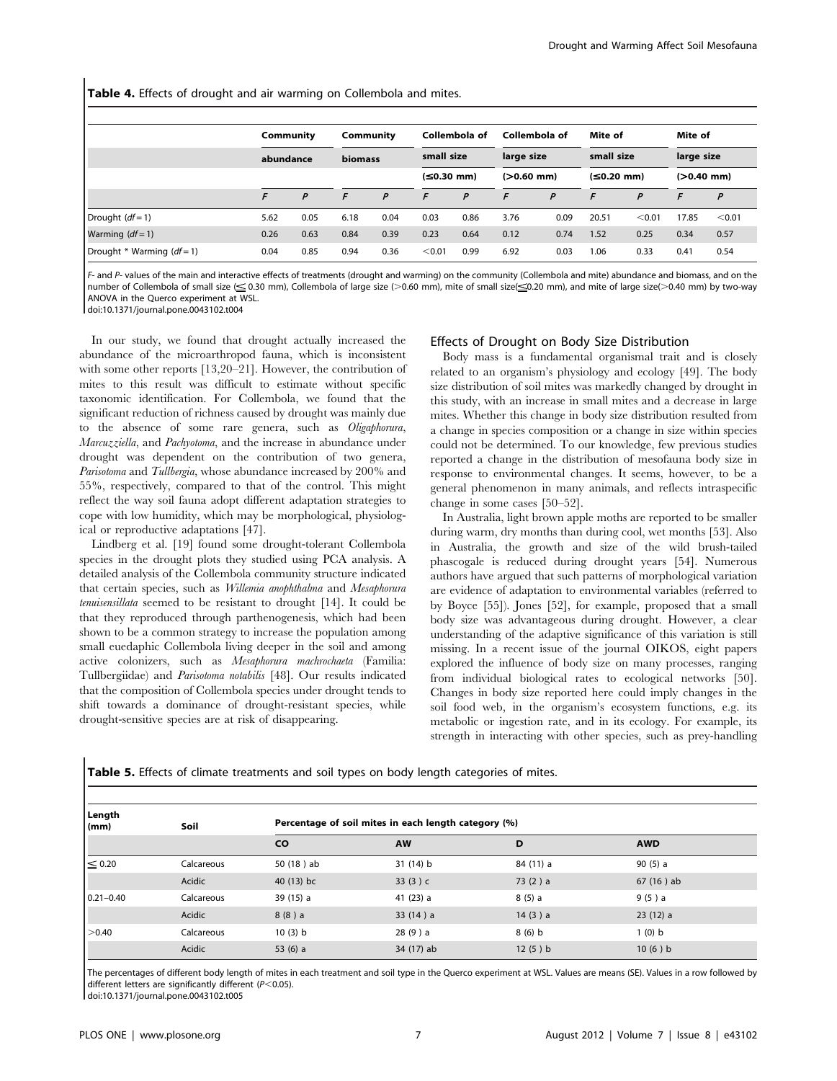Table 4. Effects of drought and air warming on Collembola and mites.

|                            |           | Community |                | Collembola of<br>Community |              | Collembola of |            | Mite of      |            | Mite of      |            |              |  |
|----------------------------|-----------|-----------|----------------|----------------------------|--------------|---------------|------------|--------------|------------|--------------|------------|--------------|--|
|                            | abundance |           | <b>biomass</b> |                            | small size   |               | large size |              | small size |              | large size |              |  |
|                            |           |           |                |                            | $(≤0.30$ mm) |               |            | $(>0.60$ mm) |            | $(≤0.20$ mm) |            | $(>0.40$ mm) |  |
|                            |           | P         | F              | P                          | F            | P             | E          | P            | F          | P            | F          | P            |  |
| Drought $(df=1)$           | 5.62      | 0.05      | 6.18           | 0.04                       | 0.03         | 0.86          | 3.76       | 0.09         | 20.51      | < 0.01       | 17.85      | < 0.01       |  |
| Warming $(df=1)$           | 0.26      | 0.63      | 0.84           | 0.39                       | 0.23         | 0.64          | 0.12       | 0.74         | 1.52       | 0.25         | 0.34       | 0.57         |  |
| Drought * Warming $(df=1)$ | 0.04      | 0.85      | 0.94           | 0.36                       | < 0.01       | 0.99          | 6.92       | 0.03         | 1.06       | 0.33         | 0.41       | 0.54         |  |

F- and P- values of the main and interactive effects of treatments (drought and warming) on the community (Collembola and mite) abundance and biomass, and on the number of Collembola of small size ( $\leq$  0.30 mm), Collembola of large size (>0.60 mm), mite of small size( $\leq$ 0.20 mm), and mite of large size(>0.40 mm) by two-way ANOVA in the Querco experiment at WSL.

doi:10.1371/journal.pone.0043102.t004

In our study, we found that drought actually increased the abundance of the microarthropod fauna, which is inconsistent with some other reports [13,20–21]. However, the contribution of mites to this result was difficult to estimate without specific taxonomic identification. For Collembola, we found that the significant reduction of richness caused by drought was mainly due to the absence of some rare genera, such as Oligaphorura, Marcuzziella, and Pachyotoma, and the increase in abundance under drought was dependent on the contribution of two genera, Parisotoma and Tullbergia, whose abundance increased by 200% and 55%, respectively, compared to that of the control. This might reflect the way soil fauna adopt different adaptation strategies to cope with low humidity, which may be morphological, physiological or reproductive adaptations [47].

Lindberg et al. [19] found some drought-tolerant Collembola species in the drought plots they studied using PCA analysis. A detailed analysis of the Collembola community structure indicated that certain species, such as Willemia anophthalma and Mesaphorura tenuisensillata seemed to be resistant to drought [14]. It could be that they reproduced through parthenogenesis, which had been shown to be a common strategy to increase the population among small euedaphic Collembola living deeper in the soil and among active colonizers, such as Mesaphorura machrochaeta (Familia: Tullbergiidae) and Parisotoma notabilis [48]. Our results indicated that the composition of Collembola species under drought tends to shift towards a dominance of drought-resistant species, while drought-sensitive species are at risk of disappearing.

## Effects of Drought on Body Size Distribution

Body mass is a fundamental organismal trait and is closely related to an organism's physiology and ecology [49]. The body size distribution of soil mites was markedly changed by drought in this study, with an increase in small mites and a decrease in large mites. Whether this change in body size distribution resulted from a change in species composition or a change in size within species could not be determined. To our knowledge, few previous studies reported a change in the distribution of mesofauna body size in response to environmental changes. It seems, however, to be a general phenomenon in many animals, and reflects intraspecific change in some cases [50–52].

In Australia, light brown apple moths are reported to be smaller during warm, dry months than during cool, wet months [53]. Also in Australia, the growth and size of the wild brush-tailed phascogale is reduced during drought years [54]. Numerous authors have argued that such patterns of morphological variation are evidence of adaptation to environmental variables (referred to by Boyce [55]). Jones [52], for example, proposed that a small body size was advantageous during drought. However, a clear understanding of the adaptive significance of this variation is still missing. In a recent issue of the journal OIKOS, eight papers explored the influence of body size on many processes, ranging from individual biological rates to ecological networks [50]. Changes in body size reported here could imply changes in the soil food web, in the organism's ecosystem functions, e.g. its metabolic or ingestion rate, and in its ecology. For example, its strength in interacting with other species, such as prey-handling

Table 5. Effects of climate treatments and soil types on body length categories of mites.

| Length<br>$\mathsf{m}$ | Soil       | Percentage of soil mites in each length category (%) |             |           |             |  |  |  |
|------------------------|------------|------------------------------------------------------|-------------|-----------|-------------|--|--|--|
|                        |            | <b>CO</b>                                            | <b>AW</b>   | D         | <b>AWD</b>  |  |  |  |
| $\leq 0.20$            | Calcareous | 50 (18) ab                                           | 31(14) b    | 84 (11) a | 90(5) a     |  |  |  |
|                        | Acidic     | 40 (13) bc                                           | 33 $(3)$ c  | 73(2) a   | $67(16)$ ab |  |  |  |
| $0.21 - 0.40$          | Calcareous | 39 (15) a                                            | 41 $(23)$ a | 8(5) a    | 9(5) a      |  |  |  |
|                        | Acidic     | 8(8) a                                               | 33(14) a    | 14(3) a   | 23(12) a    |  |  |  |
| >0.40                  | Calcareous | 10(3) b                                              | 28(9) a     | 8(6) b    | 1(0) b      |  |  |  |
|                        | Acidic     | 53 $(6)$ a                                           | 34 (17) ab  | 12(5) b   | 10(6) b     |  |  |  |

The percentages of different body length of mites in each treatment and soil type in the Querco experiment at WSL. Values are means (SE). Values in a row followed by different letters are significantly different ( $P$ <0.05).

doi:10.1371/journal.pone.0043102.t005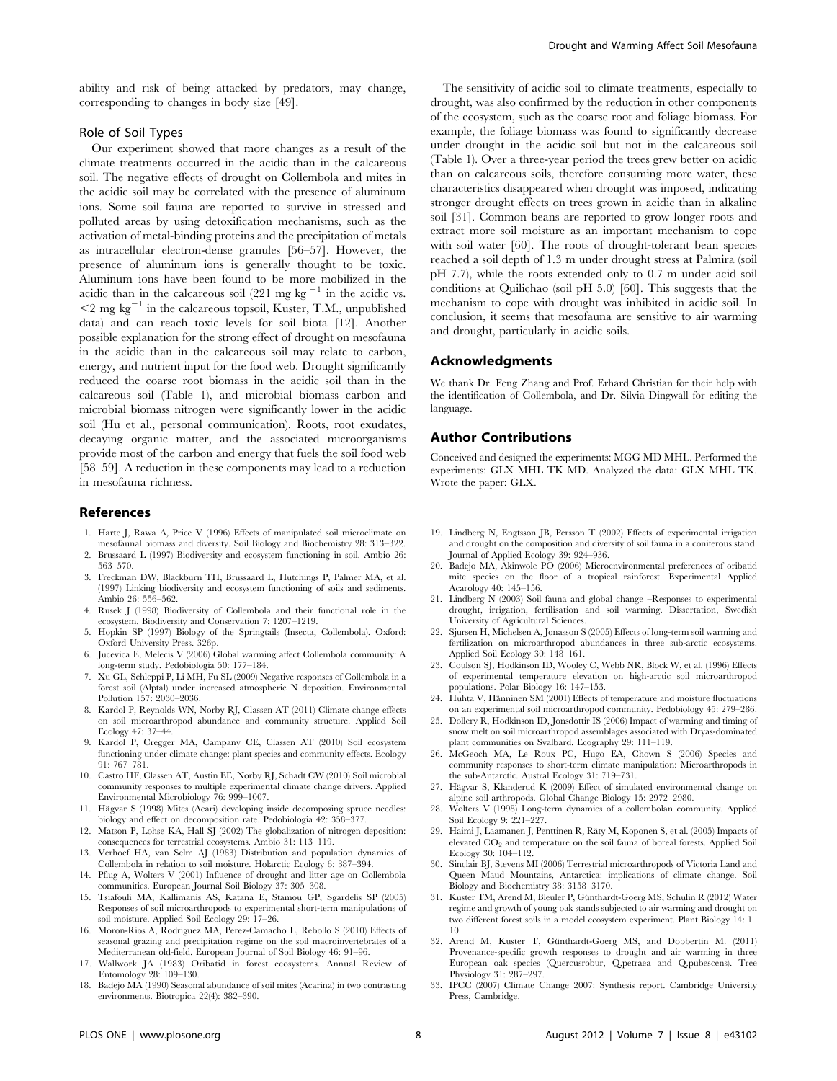ability and risk of being attacked by predators, may change, corresponding to changes in body size [49].

## Role of Soil Types

Our experiment showed that more changes as a result of the climate treatments occurred in the acidic than in the calcareous soil. The negative effects of drought on Collembola and mites in the acidic soil may be correlated with the presence of aluminum ions. Some soil fauna are reported to survive in stressed and polluted areas by using detoxification mechanisms, such as the activation of metal-binding proteins and the precipitation of metals as intracellular electron-dense granules [56–57]. However, the presence of aluminum ions is generally thought to be toxic. Aluminum ions have been found to be more mobilized in the acidic than in the calcareous soil (221 mg kg<sup> $-1$ </sup> in the acidic vs.  $<$ 2 mg kg<sup>-1</sup> in the calcareous topsoil, Kuster, T.M., unpublished data) and can reach toxic levels for soil biota [12]. Another possible explanation for the strong effect of drought on mesofauna in the acidic than in the calcareous soil may relate to carbon, energy, and nutrient input for the food web. Drought significantly reduced the coarse root biomass in the acidic soil than in the calcareous soil (Table 1), and microbial biomass carbon and microbial biomass nitrogen were significantly lower in the acidic soil (Hu et al., personal communication). Roots, root exudates, decaying organic matter, and the associated microorganisms provide most of the carbon and energy that fuels the soil food web [58–59]. A reduction in these components may lead to a reduction in mesofauna richness.

## References

- 1. Harte J, Rawa A, Price V (1996) Effects of manipulated soil microclimate on mesofaunal biomass and diversity. Soil Biology and Biochemistry 28: 313–322.
- 2. Brussaard L (1997) Biodiversity and ecosystem functioning in soil. Ambio 26: 563–570.
- 3. Freckman DW, Blackburn TH, Brussaard L, Hutchings P, Palmer MA, et al. (1997) Linking biodiversity and ecosystem functioning of soils and sediments. Ambio 26: 556–562.
- 4. Rusek J (1998) Biodiversity of Collembola and their functional role in the ecosystem. Biodiversity and Conservation 7: 1207–1219.
- 5. Hopkin SP (1997) Biology of the Springtails (Insecta, Collembola). Oxford: Oxford University Press. 326p.
- Jucevica E, Melecis V (2006) Global warming affect Collembola community: A long-term study. Pedobiologia 50: 177–184.
- 7. Xu GL, Schleppi P, Li MH, Fu SL (2009) Negative responses of Collembola in a forest soil (Alptal) under increased atmospheric N deposition. Environmental Pollution 157: 2030–2036.
- 8. Kardol P, Reynolds WN, Norby RJ, Classen AT (2011) Climate change effects on soil microarthropod abundance and community structure. Applied Soil Ecology 47: 37–44.
- 9. Kardol P, Cregger MA, Campany CE, Classen AT (2010) Soil ecosystem functioning under climate change: plant species and community effects. Ecology 91: 767–781.
- 10. Castro HF, Classen AT, Austin EE, Norby RJ, Schadt CW (2010) Soil microbial community responses to multiple experimental climate change drivers. Applied Environmental Microbiology 76: 999–1007.
- 11. Hägvar S (1998) Mites (Acari) developing inside decomposing spruce needles: biology and effect on decomposition rate. Pedobiologia 42: 358–377.
- 12. Matson P, Lohse KA, Hall SJ (2002) The globalization of nitrogen deposition: consequences for terrestrial ecosystems. Ambio 31: 113–119.
- 13. Verhoef HA, van Selm AJ (1983) Distribution and population dynamics of Collembola in relation to soil moisture. Holarctic Ecology 6: 387–394.
- 14. Pflug A, Wolters V (2001) Influence of drought and litter age on Collembola communities. European Journal Soil Biology 37: 305–308.
- 15. Tsiafouli MA, Kallimanis AS, Katana E, Stamou GP, Sgardelis SP (2005) Responses of soil microarthropods to experimental short-term manipulations of soil moisture. Applied Soil Ecology 29: 17–26.
- 16. Moron-Rios A, Rodriguez MA, Perez-Camacho L, Rebollo S (2010) Effects of seasonal grazing and precipitation regime on the soil macroinvertebrates of a Mediterranean old-field. European Journal of Soil Biology 46: 91–96.
- 17. Wallwork JA (1983) Oribatid in forest ecosystems. Annual Review of Entomology 28: 109–130.
- 18. Badejo MA (1990) Seasonal abundance of soil mites (Acarina) in two contrasting environments. Biotropica 22(4): 382–390.

The sensitivity of acidic soil to climate treatments, especially to drought, was also confirmed by the reduction in other components of the ecosystem, such as the coarse root and foliage biomass. For example, the foliage biomass was found to significantly decrease under drought in the acidic soil but not in the calcareous soil (Table 1). Over a three-year period the trees grew better on acidic than on calcareous soils, therefore consuming more water, these characteristics disappeared when drought was imposed, indicating stronger drought effects on trees grown in acidic than in alkaline soil [31]. Common beans are reported to grow longer roots and extract more soil moisture as an important mechanism to cope with soil water [60]. The roots of drought-tolerant bean species reached a soil depth of 1.3 m under drought stress at Palmira (soil pH 7.7), while the roots extended only to 0.7 m under acid soil conditions at Quilichao (soil pH 5.0) [60]. This suggests that the mechanism to cope with drought was inhibited in acidic soil. In conclusion, it seems that mesofauna are sensitive to air warming and drought, particularly in acidic soils.

## Acknowledgments

We thank Dr. Feng Zhang and Prof. Erhard Christian for their help with the identification of Collembola, and Dr. Silvia Dingwall for editing the language.

#### Author Contributions

Conceived and designed the experiments: MGG MD MHL. Performed the experiments: GLX MHL TK MD. Analyzed the data: GLX MHL TK. Wrote the paper: GLX.

- 19. Lindberg N, Engtsson JB, Persson T (2002) Effects of experimental irrigation and drought on the composition and diversity of soil fauna in a coniferous stand. Journal of Applied Ecology 39: 924–936.
- 20. Badejo MA, Akinwole PO (2006) Microenvironmental preferences of oribatid mite species on the floor of a tropical rainforest. Experimental Applied Acarology 40: 145–156.
- 21. Lindberg N (2003) Soil fauna and global change –Responses to experimental drought, irrigation, fertilisation and soil warming. Dissertation, Swedish University of Agricultural Sciences.
- 22. Sjursen H, Michelsen A, Jonasson S (2005) Effects of long-term soil warming and fertilization on microarthropod abundances in three sub-arctic ecosystems. Applied Soil Ecology 30: 148–161.
- 23. Coulson SJ, Hodkinson ID, Wooley C, Webb NR, Block W, et al. (1996) Effects of experimental temperature elevation on high-arctic soil microarthropod populations. Polar Biology 16: 147–153.
- 24. Huhta V, Hänninen SM (2001) Effects of temperature and moisture fluctuations on an experimental soil microarthropod community. Pedobiology 45: 279–286.
- 25. Dollery R, Hodkinson ID, Jonsdottir IS (2006) Impact of warming and timing of snow melt on soil microarthropod assemblages associated with Dryas-dominated plant communities on Svalbard. Ecography 29: 111–119.
- 26. McGeoch MA, Le Roux PC, Hugo EA, Chown S (2006) Species and community responses to short-term climate manipulation: Microarthropods in the sub-Antarctic. Austral Ecology 31: 719–731.
- 27. Hägvar S, Klanderud K (2009) Effect of simulated environmental change on alpine soil arthropods. Global Change Biology 15: 2972–2980.
- 28. Wolters V (1998) Long-term dynamics of a collembolan community. Applied Soil Ecology 9: 221–227.
- 29. Haimi J, Laamanen J, Penttinen R, Räty M, Koponen S, et al. (2005) Impacts of elevated CO<sub>2</sub> and temperature on the soil fauna of boreal forests. Applied Soil Ecology 30: 104–112.
- 30. Sinclair BJ, Stevens MI (2006) Terrestrial microarthropods of Victoria Land and Queen Maud Mountains, Antarctica: implications of climate change. Soil Biology and Biochemistry 38: 3158–3170.
- 31. Kuster TM, Arend M, Bleuler P, Günthardt-Goerg MS, Schulin R (2012) Water regime and growth of young oak stands subjected to air warming and drought on two different forest soils in a model ecosystem experiment. Plant Biology 14: 1– 10.
- 32. Arend M, Kuster T, Günthardt-Goerg MS, and Dobbertin M. (2011) Provenance-specific growth responses to drought and air warming in three European oak species (Quercusrobur, Q.petraea and Q.pubescens). Tree Physiology 31: 287–297.
- 33. IPCC (2007) Climate Change 2007: Synthesis report. Cambridge University Press, Cambridge.